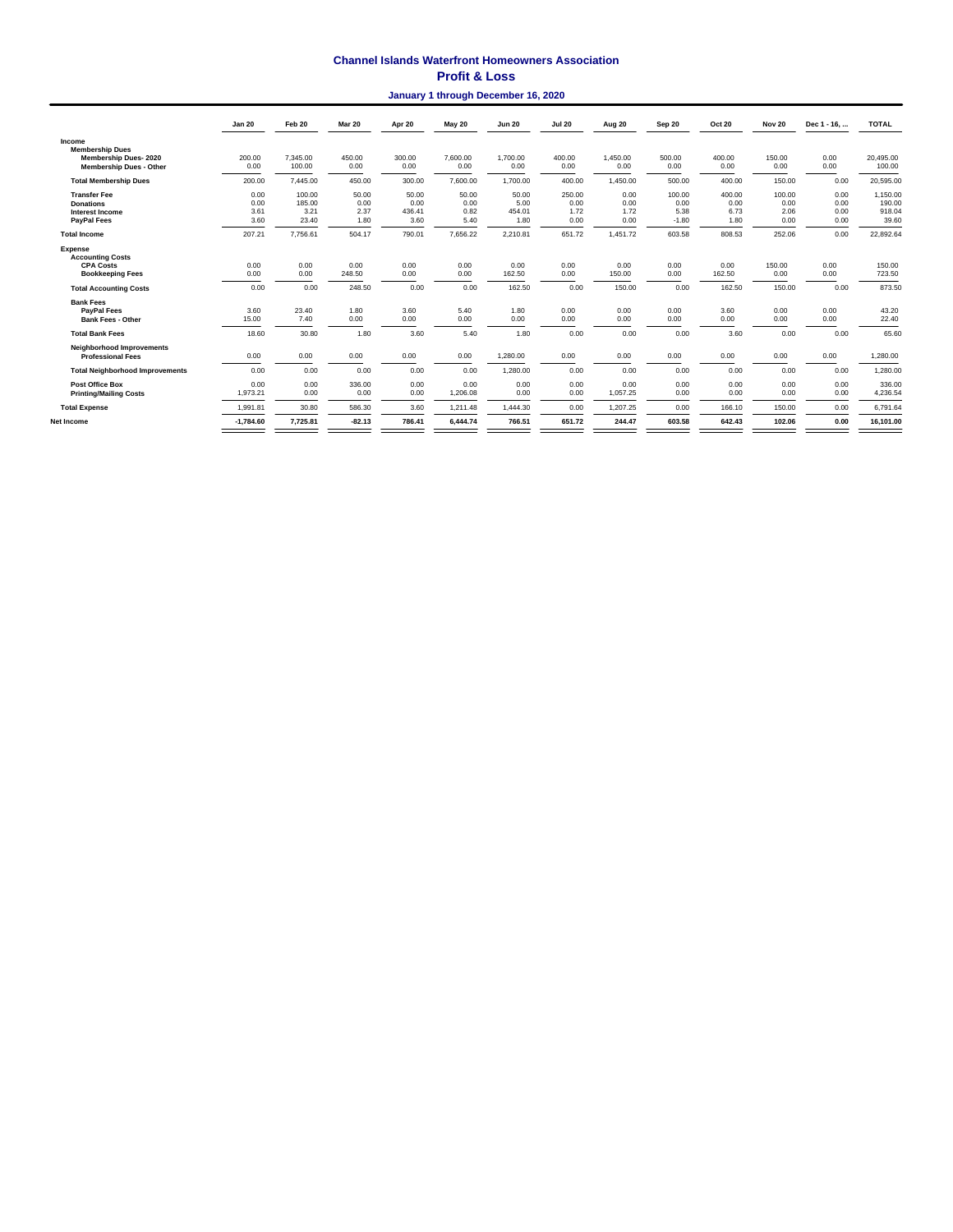### **Channel Islands Waterfront Homeowners Association**

### **Profit & Loss**

#### **January 1 through December 16, 2020**

|                                                                                         | <b>Jan 20</b>                | Feb 20                            | <b>Mar 20</b>                 | Apr 20                          | <b>May 20</b>                 | <b>Jun 20</b>                   | <b>Jul 20</b>                  | Aug 20                       | Sep 20                            | <b>Oct 20</b>                  | <b>Nov 20</b>                  | Dec 1 - 16,                  | <b>TOTAL</b>                          |
|-----------------------------------------------------------------------------------------|------------------------------|-----------------------------------|-------------------------------|---------------------------------|-------------------------------|---------------------------------|--------------------------------|------------------------------|-----------------------------------|--------------------------------|--------------------------------|------------------------------|---------------------------------------|
| Income<br><b>Membership Dues</b>                                                        |                              |                                   |                               |                                 |                               |                                 |                                |                              |                                   |                                |                                |                              |                                       |
| Membership Dues-2020<br><b>Membership Dues - Other</b>                                  | 200.00<br>0.00               | 7.345.00<br>100.00                | 450.00<br>0.00                | 300.00<br>0.00                  | 7,600.00<br>0.00              | 1.700.00<br>0.00                | 400.00<br>0.00                 | 1.450.00<br>0.00             | 500.00<br>0.00                    | 400.00<br>0.00                 | 150.00<br>0.00                 | 0.00<br>0.00                 | 20,495.00<br>100.00                   |
| <b>Total Membership Dues</b>                                                            | 200.00                       | 7,445.00                          | 450.00                        | 300.00                          | 7,600.00                      | 1,700.00                        | 400.00                         | 1,450.00                     | 500.00                            | 400.00                         | 150.00                         | 0.00                         | 20,595.00                             |
| <b>Transfer Fee</b><br><b>Donations</b><br><b>Interest Income</b><br><b>PayPal Fees</b> | 0.00<br>0.00<br>3.61<br>3.60 | 100.00<br>185.00<br>3.21<br>23.40 | 50.00<br>0.00<br>2.37<br>1.80 | 50.00<br>0.00<br>436.41<br>3.60 | 50.00<br>0.00<br>0.82<br>5.40 | 50.00<br>5.00<br>454.01<br>1.80 | 250.00<br>0.00<br>1.72<br>0.00 | 0.00<br>0.00<br>1.72<br>0.00 | 100.00<br>0.00<br>5.38<br>$-1.80$ | 400.00<br>0.00<br>6.73<br>1.80 | 100.00<br>0.00<br>2.06<br>0.00 | 0.00<br>0.00<br>0.00<br>0.00 | 1,150.00<br>190.00<br>918.04<br>39.60 |
| <b>Total Income</b>                                                                     | 207.21                       | 7,756.61                          | 504.17                        | 790.01                          | 7,656.22                      | 2,210.81                        | 651.72                         | 1,451.72                     | 603.58                            | 808.53                         | 252.06                         | 0.00                         | 22,892.64                             |
| Expense<br><b>Accounting Costs</b><br><b>CPA Costs</b><br><b>Bookkeeping Fees</b>       | 0.00<br>0.00                 | 0.00<br>0.00                      | 0.00<br>248.50                | 0.00<br>0.00                    | 0.00<br>0.00                  | 0.00<br>162.50                  | 0.00<br>0.00                   | 0.00<br>150.00               | 0.00<br>0.00                      | 0.00<br>162.50                 | 150.00<br>0.00                 | 0.00<br>0.00                 | 150.00<br>723.50                      |
| <b>Total Accounting Costs</b>                                                           | 0.00                         | 0.00                              | 248.50                        | 0.00                            | 0.00                          | 162.50                          | 0.00                           | 150.00                       | 0.00                              | 162.50                         | 150.00                         | 0.00                         | 873.50                                |
| <b>Bank Fees</b><br><b>PavPal Fees</b><br><b>Bank Fees - Other</b>                      | 3.60<br>15.00                | 23.40<br>7.40                     | 1.80<br>0.00                  | 3.60<br>0.00                    | 5.40<br>0.00                  | 1.80<br>0.00                    | 0.00<br>0.00                   | 0.00<br>0.00                 | 0.00<br>0.00                      | 3.60<br>0.00                   | 0.00<br>0.00                   | 0.00<br>0.00                 | 43.20<br>22.40                        |
| <b>Total Bank Fees</b>                                                                  | 18.60                        | 30.80                             | 1.80                          | 3.60                            | 5.40                          | 1.80                            | 0.00                           | 0.00                         | 0.00                              | 3.60                           | 0.00                           | 0.00                         | 65.60                                 |
| <b>Neighborhood Improvements</b><br><b>Professional Fees</b>                            | 0.00                         | 0.00                              | 0.00                          | 0.00                            | 0.00                          | 1,280.00                        | 0.00                           | 0.00                         | 0.00                              | 0.00                           | 0.00                           | 0.00                         | 1,280.00                              |
| <b>Total Neighborhood Improvements</b>                                                  | 0.00                         | 0.00                              | 0.00                          | 0.00                            | 0.00                          | 1.280.00                        | 0.00                           | 0.00                         | 0.00                              | 0.00                           | 0.00                           | 0.00                         | 1,280.00                              |
| <b>Post Office Box</b><br><b>Printing/Mailing Costs</b>                                 | 0.00<br>1,973.21             | 0.00<br>0.00                      | 336.00<br>0.00                | 0.00<br>0.00                    | 0.00<br>1,206.08              | 0.00<br>0.00                    | 0.00<br>0.00                   | 0.00<br>1,057.25             | 0.00<br>0.00                      | 0.00<br>0.00                   | 0.00<br>0.00                   | 0.00<br>0.00                 | 336.00<br>4,236.54                    |
| <b>Total Expense</b>                                                                    | 1,991.81                     | 30.80                             | 586.30                        | 3.60                            | 1.211.48                      | 1,444.30                        | 0.00                           | 1,207.25                     | 0.00                              | 166.10                         | 150.00                         | 0.00                         | 6,791.64                              |
| Net Income                                                                              | $-1.784.60$                  | 7,725.81                          | $-82.13$                      | 786.41                          | 6.444.74                      | 766.51                          | 651.72                         | 244.47                       | 603.58                            | 642.43                         | 102.06                         | 0.00                         | 16.101.00                             |
|                                                                                         |                              |                                   |                               |                                 |                               |                                 |                                |                              |                                   |                                |                                |                              |                                       |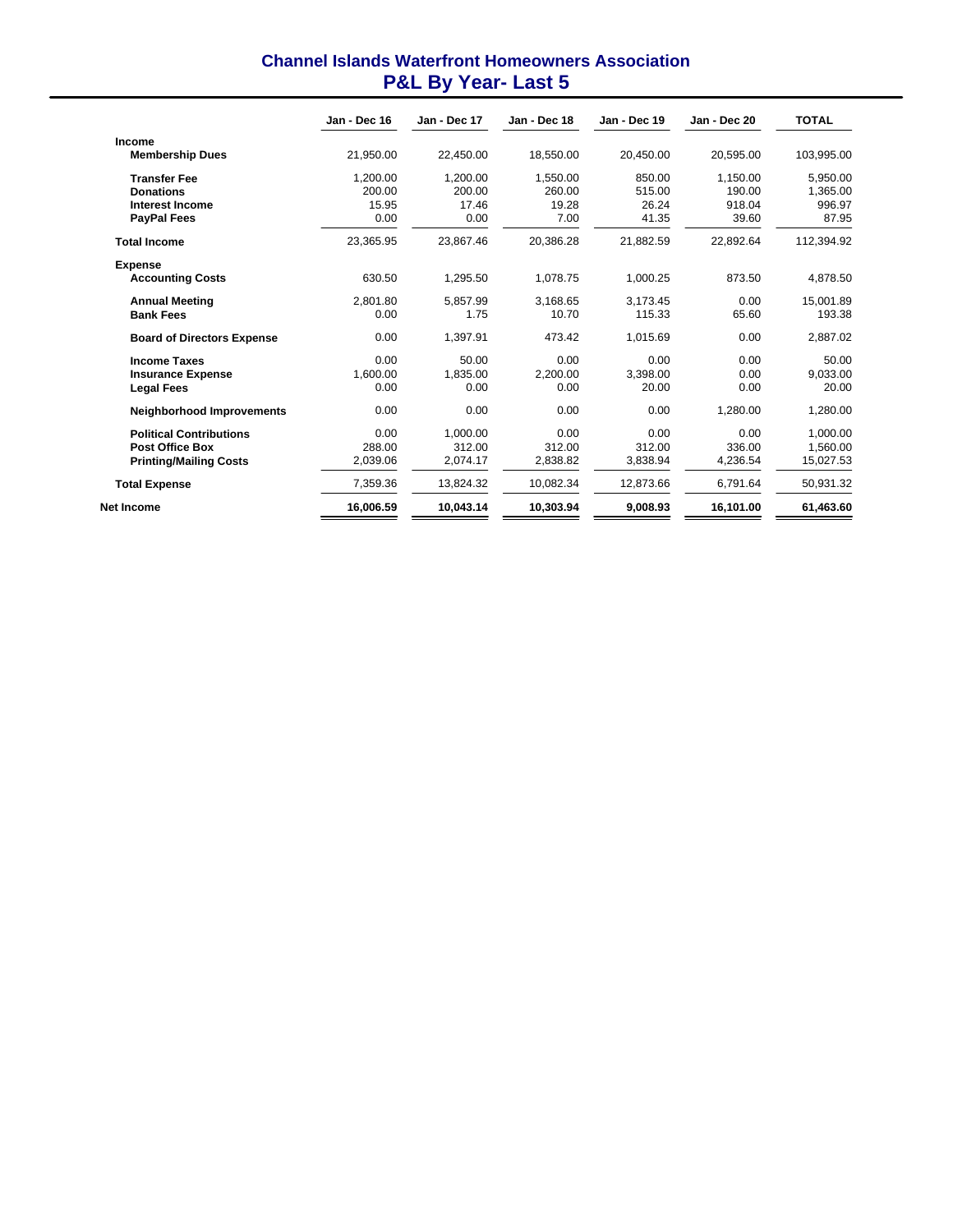# **Channel Islands Waterfront Homeowners Association P&L By Year- Last 5**

|                                   | Jan - Dec 16 | Jan - Dec 17 | Jan - Dec 18 | Jan - Dec 19 | Jan - Dec 20 | <b>TOTAL</b> |
|-----------------------------------|--------------|--------------|--------------|--------------|--------------|--------------|
| <b>Income</b>                     |              |              |              |              |              |              |
| <b>Membership Dues</b>            | 21.950.00    | 22.450.00    | 18.550.00    | 20.450.00    | 20.595.00    | 103.995.00   |
| <b>Transfer Fee</b>               | 1,200.00     | 1,200.00     | 1,550.00     | 850.00       | 1,150.00     | 5.950.00     |
| <b>Donations</b>                  | 200.00       | 200.00       | 260.00       | 515.00       | 190.00       | 1,365.00     |
| <b>Interest Income</b>            | 15.95        | 17.46        | 19.28        | 26.24        | 918.04       | 996.97       |
| <b>PayPal Fees</b>                | 0.00         | 0.00         | 7.00         | 41.35        | 39.60        | 87.95        |
| <b>Total Income</b>               | 23,365.95    | 23.867.46    | 20.386.28    | 21,882.59    | 22.892.64    | 112,394.92   |
| <b>Expense</b>                    |              |              |              |              |              |              |
| <b>Accounting Costs</b>           | 630.50       | 1,295.50     | 1,078.75     | 1,000.25     | 873.50       | 4,878.50     |
| <b>Annual Meeting</b>             | 2,801.80     | 5,857.99     | 3,168.65     | 3,173.45     | 0.00         | 15,001.89    |
| <b>Bank Fees</b>                  | 0.00         | 1.75         | 10.70        | 115.33       | 65.60        | 193.38       |
| <b>Board of Directors Expense</b> | 0.00         | 1,397.91     | 473.42       | 1,015.69     | 0.00         | 2,887.02     |
| <b>Income Taxes</b>               | 0.00         | 50.00        | 0.00         | 0.00         | 0.00         | 50.00        |
| <b>Insurance Expense</b>          | 1.600.00     | 1.835.00     | 2.200.00     | 3.398.00     | 0.00         | 9.033.00     |
| <b>Legal Fees</b>                 | 0.00         | 0.00         | 0.00         | 20.00        | 0.00         | 20.00        |
| <b>Neighborhood Improvements</b>  | 0.00         | 0.00         | 0.00         | 0.00         | 1.280.00     | 1.280.00     |
| <b>Political Contributions</b>    | 0.00         | 1.000.00     | 0.00         | 0.00         | 0.00         | 1.000.00     |
| <b>Post Office Box</b>            | 288.00       | 312.00       | 312.00       | 312.00       | 336.00       | 1.560.00     |
| <b>Printing/Mailing Costs</b>     | 2,039.06     | 2.074.17     | 2.838.82     | 3.838.94     | 4.236.54     | 15,027.53    |
| <b>Total Expense</b>              | 7,359.36     | 13.824.32    | 10,082.34    | 12,873.66    | 6.791.64     | 50,931.32    |
| Net Income                        | 16,006.59    | 10.043.14    | 10,303.94    | 9.008.93     | 16,101.00    | 61,463.60    |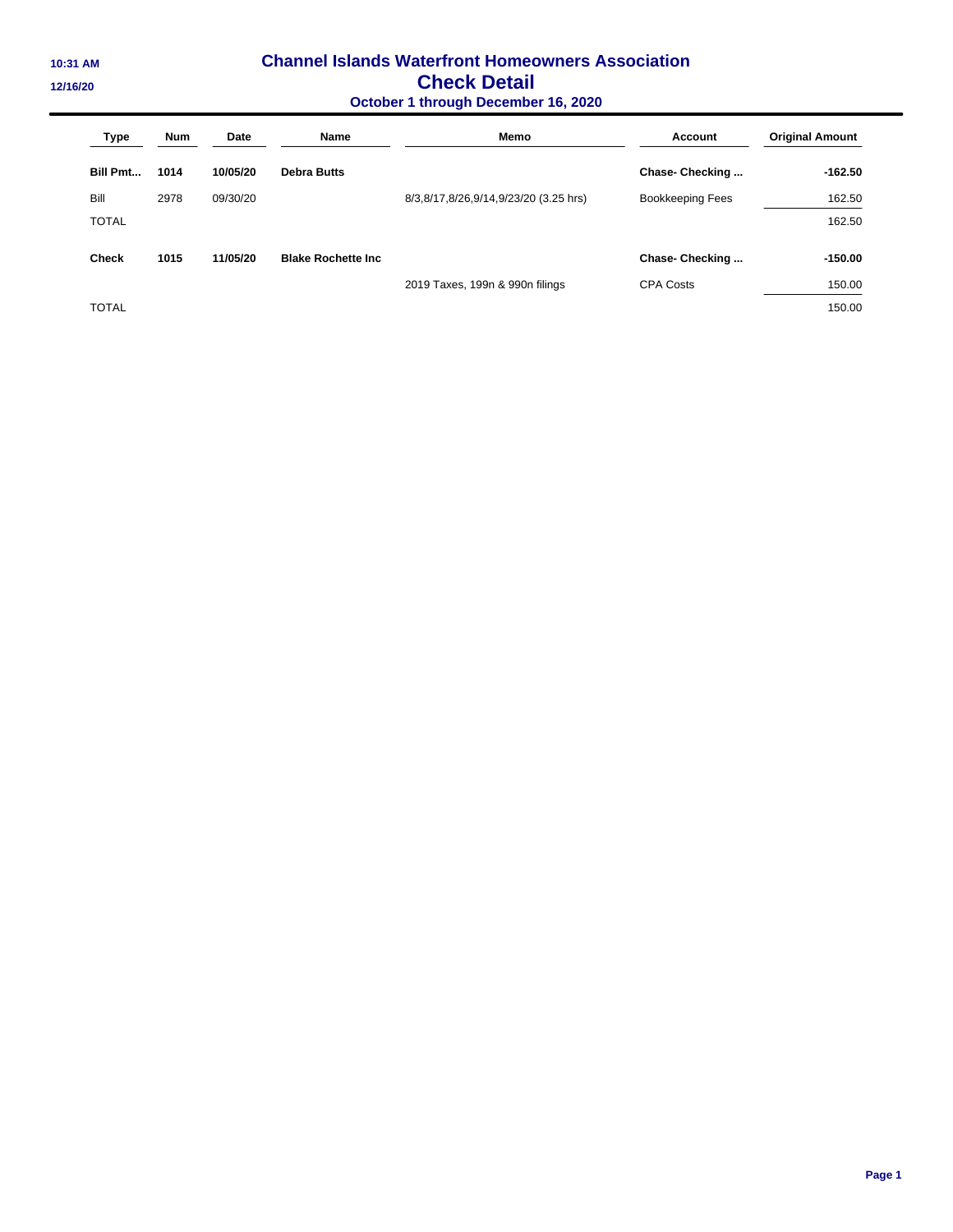## **10:31 AM Channel Islands Waterfront Homeowners Association 12/16/20 Check Detail October 1 through December 16, 2020**

| <b>Type</b>     | <b>Num</b> | Date     | <b>Name</b>                | Memo                                  | <b>Account</b>          | <b>Original Amount</b> |
|-----------------|------------|----------|----------------------------|---------------------------------------|-------------------------|------------------------|
| <b>Bill Pmt</b> | 1014       | 10/05/20 | <b>Debra Butts</b>         |                                       | Chase- Checking         | $-162.50$              |
| Bill            | 2978       | 09/30/20 |                            | 8/3,8/17,8/26,9/14,9/23/20 (3.25 hrs) | <b>Bookkeeping Fees</b> | 162.50                 |
| <b>TOTAL</b>    |            |          |                            |                                       |                         | 162.50                 |
| <b>Check</b>    | 1015       | 11/05/20 | <b>Blake Rochette Inc.</b> |                                       | Chase-Checking          | $-150.00$              |
|                 |            |          |                            | 2019 Taxes, 199n & 990n filings       | <b>CPA Costs</b>        | 150.00                 |
| <b>TOTAL</b>    |            |          |                            |                                       |                         | 150.00                 |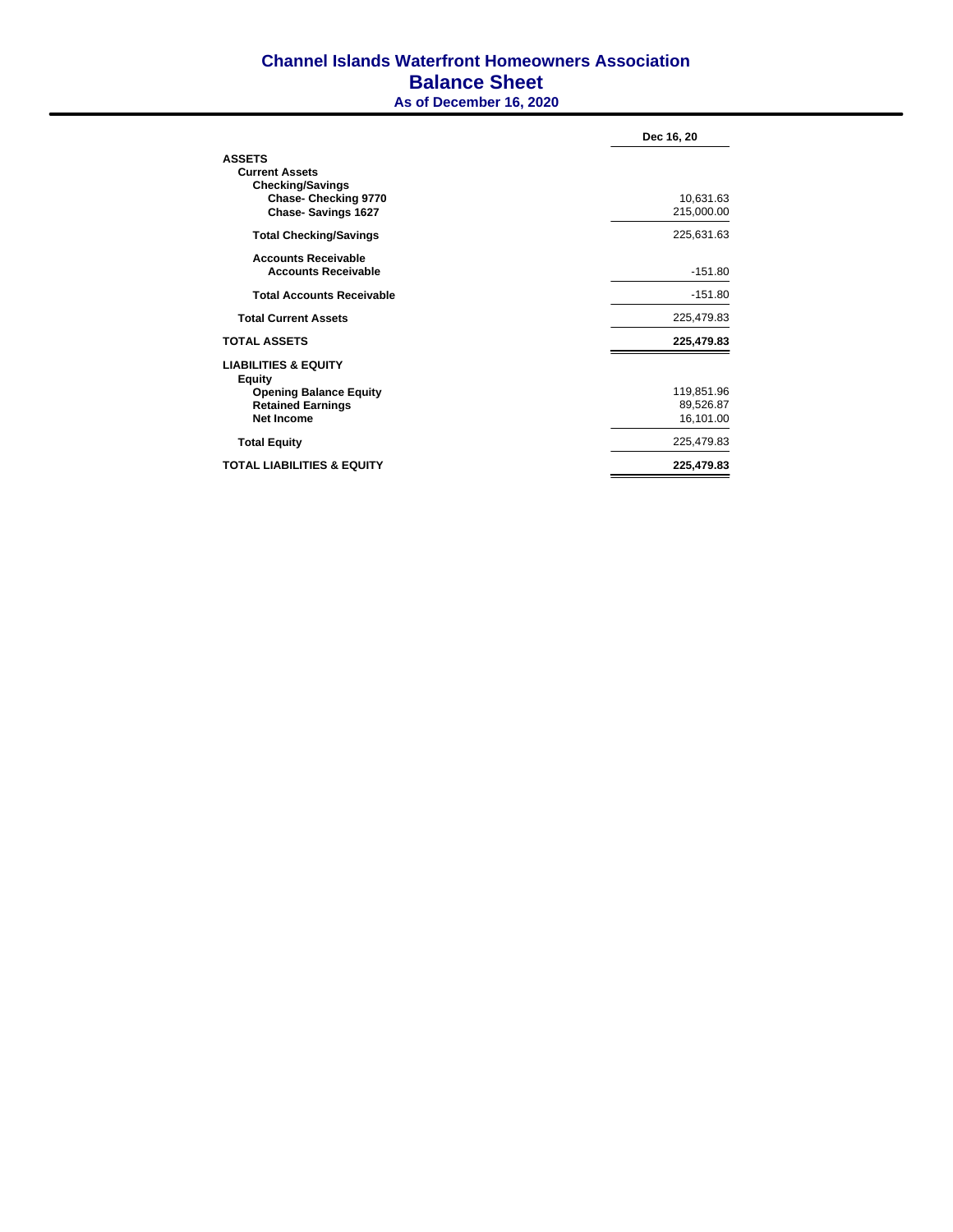## **Channel Islands Waterfront Homeowners Association Balance Sheet As of December 16, 2020**

|                                                | Dec 16, 20 |
|------------------------------------------------|------------|
| <b>ASSETS</b>                                  |            |
| <b>Current Assets</b>                          |            |
| <b>Checking/Savings</b>                        |            |
| <b>Chase-Checking 9770</b>                     | 10,631.63  |
| <b>Chase-Savings 1627</b>                      | 215,000.00 |
| <b>Total Checking/Savings</b>                  | 225,631.63 |
| <b>Accounts Receivable</b>                     |            |
| <b>Accounts Receivable</b>                     | $-151.80$  |
| <b>Total Accounts Receivable</b>               | $-151.80$  |
| <b>Total Current Assets</b>                    | 225,479.83 |
| <b>TOTAL ASSETS</b>                            | 225,479.83 |
| <b>LIABILITIES &amp; EQUITY</b>                |            |
| <b>Equity</b><br><b>Opening Balance Equity</b> | 119,851.96 |
| <b>Retained Earnings</b>                       | 89,526.87  |
| Net Income                                     | 16,101.00  |
| <b>Total Equity</b>                            | 225,479.83 |
| <b>TOTAL LIABILITIES &amp; EQUITY</b>          | 225,479.83 |